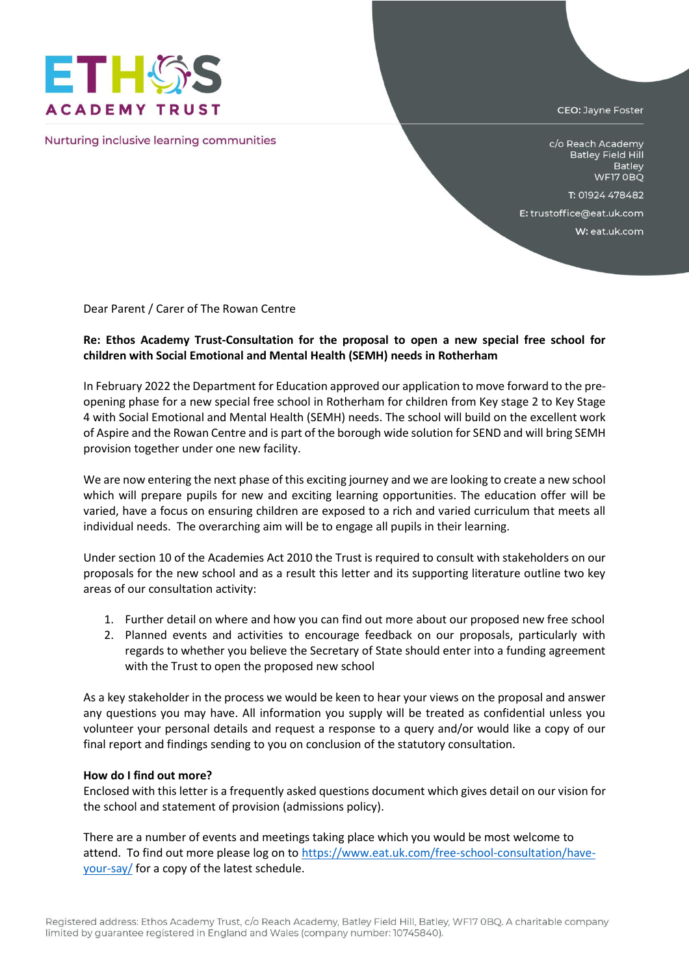

Nurturing inclusive learning communities

CEO: Jayne Foster

c/o Reach Academy **Batley Field Hill** Batley WF17 OBQ

T: 01924 478482

E: trustoffice@eat.uk.com

W: eat.uk.com

Dear Parent / Carer of The Rowan Centre

## **Re: Ethos Academy Trust-Consultation for the proposal to open a new special free school for children with Social Emotional and Mental Health (SEMH) needs in Rotherham**

In February 2022 the Department for Education approved our application to move forward to the preopening phase for a new special free school in Rotherham for children from Key stage 2 to Key Stage 4 with Social Emotional and Mental Health (SEMH) needs. The school will build on the excellent work of Aspire and the Rowan Centre and is part of the borough wide solution for SEND and will bring SEMH provision together under one new facility.

We are now entering the next phase of this exciting journey and we are looking to create a new school which will prepare pupils for new and exciting learning opportunities. The education offer will be varied, have a focus on ensuring children are exposed to a rich and varied curriculum that meets all individual needs. The overarching aim will be to engage all pupils in their learning.

Under section 10 of the Academies Act 2010 the Trust is required to consult with stakeholders on our proposals for the new school and as a result this letter and its supporting literature outline two key areas of our consultation activity:

- 1. Further detail on where and how you can find out more about our proposed new free school
- 2. Planned events and activities to encourage feedback on our proposals, particularly with regards to whether you believe the Secretary of State should enter into a funding agreement with the Trust to open the proposed new school

As a key stakeholder in the process we would be keen to hear your views on the proposal and answer any questions you may have. All information you supply will be treated as confidential unless you volunteer your personal details and request a response to a query and/or would like a copy of our final report and findings sending to you on conclusion of the statutory consultation.

## **How do I find out more?**

Enclosed with this letter is a frequently asked questions document which gives detail on our vision for the school and statement of provision (admissions policy).

There are a number of events and meetings taking place which you would be most welcome to attend. To find out more please log on t[o https://www.eat.uk.com/free-school-consultation/have](https://www.eat.uk.com/free-school-consultation/have-your-say/)[your-say/](https://www.eat.uk.com/free-school-consultation/have-your-say/) for a copy of the latest schedule.